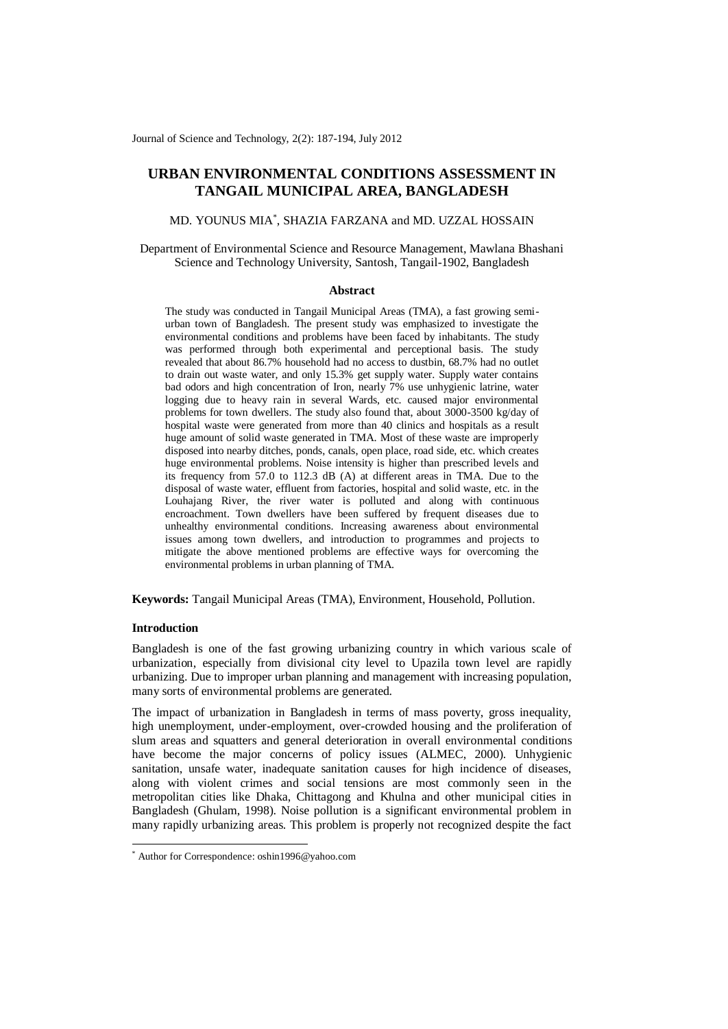Journal of Science and Technology, 2(2): 187-194, July 2012

# **URBAN ENVIRONMENTAL CONDITIONS ASSESSMENT IN TANGAIL MUNICIPAL AREA, BANGLADESH**

MD. YOUNUS MIA\* , SHAZIA FARZANA and MD. UZZAL HOSSAIN

Department of Environmental Science and Resource Management, Mawlana Bhashani Science and Technology University, Santosh, Tangail-1902, Bangladesh

#### **Abstract**

The study was conducted in Tangail Municipal Areas (TMA), a fast growing semiurban town of Bangladesh. The present study was emphasized to investigate the environmental conditions and problems have been faced by inhabitants. The study was performed through both experimental and perceptional basis. The study revealed that about 86.7% household had no access to dustbin, 68.7% had no outlet to drain out waste water, and only 15.3% get supply water. Supply water contains bad odors and high concentration of Iron, nearly 7% use unhygienic latrine, water logging due to heavy rain in several Wards, etc. caused major environmental problems for town dwellers. The study also found that, about 3000-3500 kg/day of hospital waste were generated from more than 40 clinics and hospitals as a result huge amount of solid waste generated in TMA. Most of these waste are improperly disposed into nearby ditches, ponds, canals, open place, road side, etc. which creates huge environmental problems. Noise intensity is higher than prescribed levels and its frequency from 57.0 to 112.3 dB (A) at different areas in TMA. Due to the disposal of waste water, effluent from factories, hospital and solid waste, etc. in the Louhajang River, the river water is polluted and along with continuous encroachment. Town dwellers have been suffered by frequent diseases due to unhealthy environmental conditions. Increasing awareness about environmental issues among town dwellers, and introduction to programmes and projects to mitigate the above mentioned problems are effective ways for overcoming the environmental problems in urban planning of TMA.

**Keywords:** Tangail Municipal Areas (TMA), Environment, Household, Pollution.

## **Introduction**

-

Bangladesh is one of the fast growing urbanizing country in which various scale of urbanization, especially from divisional city level to Upazila town level are rapidly urbanizing. Due to improper urban planning and management with increasing population, many sorts of environmental problems are generated.

The impact of urbanization in Bangladesh in terms of mass poverty, gross inequality, high unemployment, under-employment, over-crowded housing and the proliferation of slum areas and squatters and general deterioration in overall environmental conditions have become the major concerns of policy issues (ALMEC, 2000). Unhygienic sanitation, unsafe water, inadequate sanitation causes for high incidence of diseases, along with violent crimes and social tensions are most commonly seen in the metropolitan cities like Dhaka, Chittagong and Khulna and other municipal cities in Bangladesh (Ghulam, 1998). Noise pollution is a significant environmental problem in many rapidly urbanizing areas. This problem is properly not recognized despite the fact

<sup>\*</sup> Author for Correspondence: oshin1996@yahoo.com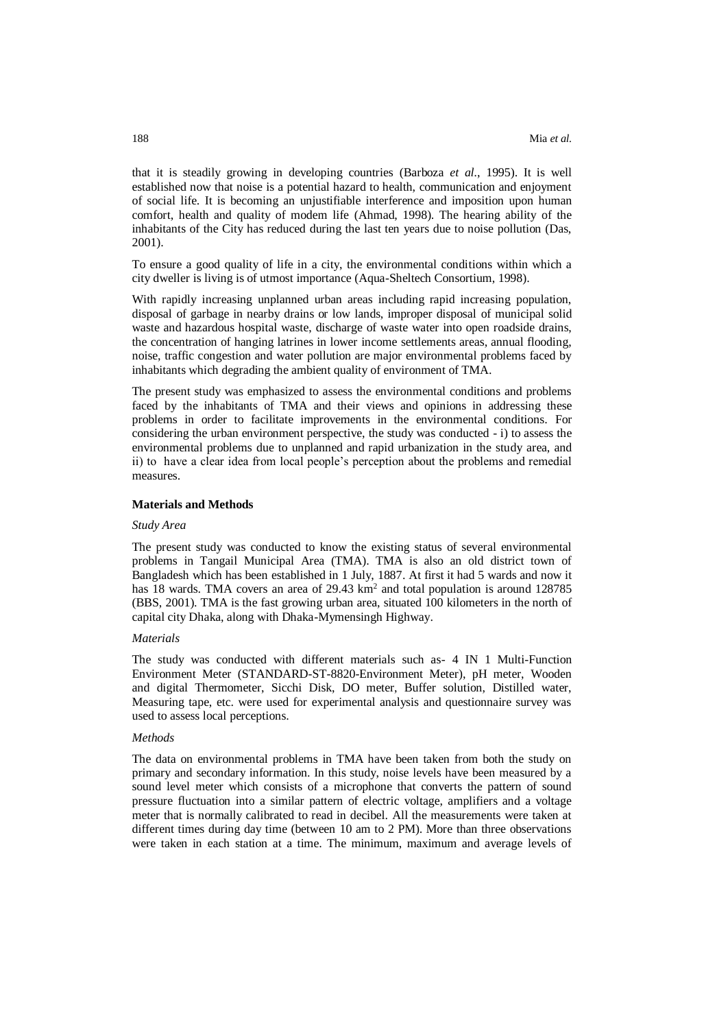that it is steadily growing in developing countries (Barboza *et al.*, 1995). It is well established now that noise is a potential hazard to health, communication and enjoyment of social life. It is becoming an unjustifiable interference and imposition upon human comfort, health and quality of modem life (Ahmad, 1998). The hearing ability of the inhabitants of the City has reduced during the last ten years due to noise pollution (Das, 2001).

To ensure a good quality of life in a city, the environmental conditions within which a city dweller is living is of utmost importance (Aqua-Sheltech Consortium, 1998).

With rapidly increasing unplanned urban areas including rapid increasing population, disposal of garbage in nearby drains or low lands, improper disposal of municipal solid waste and hazardous hospital waste, discharge of waste water into open roadside drains, the concentration of hanging latrines in lower income settlements areas, annual flooding, noise, traffic congestion and water pollution are major environmental problems faced by inhabitants which degrading the ambient quality of environment of TMA.

The present study was emphasized to assess the environmental conditions and problems faced by the inhabitants of TMA and their views and opinions in addressing these problems in order to facilitate improvements in the environmental conditions. For considering the urban environment perspective, the study was conducted - i) to assess the environmental problems due to unplanned and rapid urbanization in the study area, and ii) to have a clear idea from local people's perception about the problems and remedial measures.

## **Materials and Methods**

#### *Study Area*

The present study was conducted to know the existing status of several environmental problems in Tangail Municipal Area (TMA). TMA is also an old district town of Bangladesh which has been established in 1 July, 1887. At first it had 5 wards and now it has 18 wards. TMA covers an area of 29.43 km<sup>2</sup> and total population is around 128785 (BBS, 2001). TMA is the fast growing urban area, situated 100 kilometers in the north of capital city Dhaka, along with Dhaka-Mymensingh Highway.

## *Materials*

The study was conducted with different materials such as- 4 IN 1 Multi-Function Environment Meter (STANDARD-ST-8820-Environment Meter), pH meter, Wooden and digital Thermometer, Sicchi Disk, DO meter, Buffer solution, Distilled water, Measuring tape, etc. were used for experimental analysis and questionnaire survey was used to assess local perceptions.

#### *Methods*

The data on environmental problems in TMA have been taken from both the study on primary and secondary information. In this study, noise levels have been measured by a sound level meter which consists of a microphone that converts the pattern of sound pressure fluctuation into a similar pattern of electric voltage, amplifiers and a voltage meter that is normally calibrated to read in decibel. All the measurements were taken at different times during day time (between 10 am to 2 PM). More than three observations were taken in each station at a time. The minimum, maximum and average levels of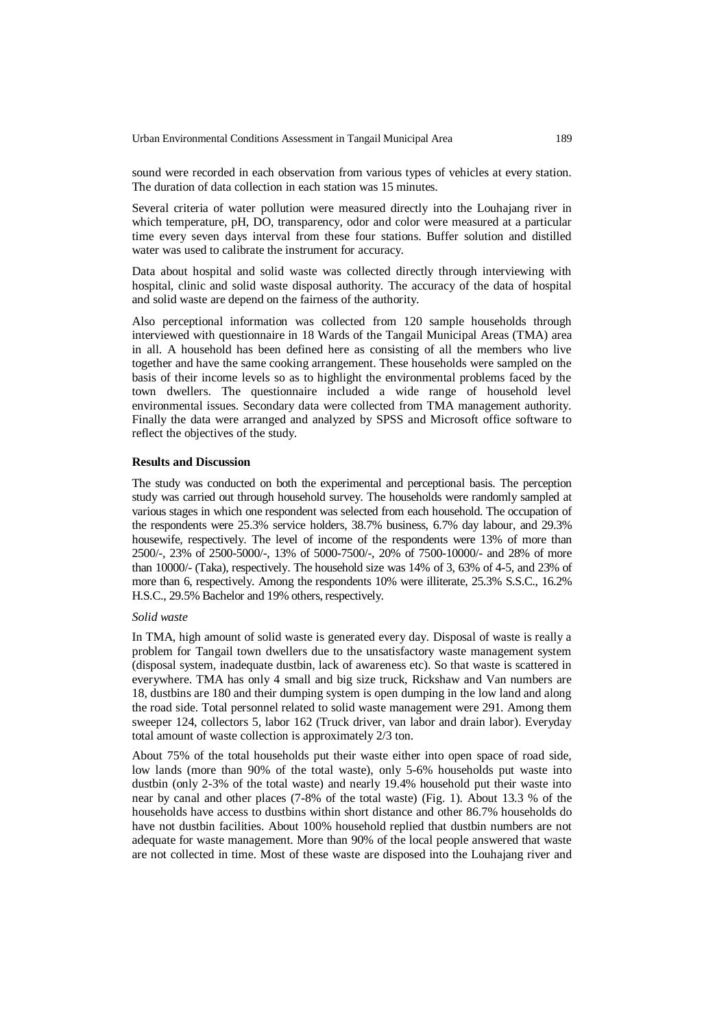sound were recorded in each observation from various types of vehicles at every station. The duration of data collection in each station was 15 minutes.

Several criteria of water pollution were measured directly into the Louhajang river in which temperature, pH, DO, transparency, odor and color were measured at a particular time every seven days interval from these four stations. Buffer solution and distilled water was used to calibrate the instrument for accuracy.

Data about hospital and solid waste was collected directly through interviewing with hospital, clinic and solid waste disposal authority. The accuracy of the data of hospital and solid waste are depend on the fairness of the authority.

Also perceptional information was collected from 120 sample households through interviewed with questionnaire in 18 Wards of the Tangail Municipal Areas (TMA) area in all. A household has been defined here as consisting of all the members who live together and have the same cooking arrangement. These households were sampled on the basis of their income levels so as to highlight the environmental problems faced by the town dwellers. The questionnaire included a wide range of household level environmental issues. Secondary data were collected from TMA management authority. Finally the data were arranged and analyzed by SPSS and Microsoft office software to reflect the objectives of the study.

#### **Results and Discussion**

The study was conducted on both the experimental and perceptional basis. The perception study was carried out through household survey. The households were randomly sampled at various stages in which one respondent was selected from each household. The occupation of the respondents were 25.3% service holders, 38.7% business, 6.7% day labour, and 29.3% housewife, respectively. The level of income of the respondents were 13% of more than 2500/-, 23% of 2500-5000/-, 13% of 5000-7500/-, 20% of 7500-10000/- and 28% of more than 10000/- (Taka), respectively. The household size was 14% of 3, 63% of 4-5, and 23% of more than 6, respectively. Among the respondents 10% were illiterate, 25.3% S.S.C., 16.2% H.S.C., 29.5% Bachelor and 19% others, respectively.

#### *Solid waste*

In TMA, high amount of solid waste is generated every day. Disposal of waste is really a problem for Tangail town dwellers due to the unsatisfactory waste management system (disposal system, inadequate dustbin, lack of awareness etc). So that waste is scattered in everywhere. TMA has only 4 small and big size truck, Rickshaw and Van numbers are 18, dustbins are 180 and their dumping system is open dumping in the low land and along the road side. Total personnel related to solid waste management were 291. Among them sweeper 124, collectors 5, labor 162 (Truck driver, van labor and drain labor). Everyday total amount of waste collection is approximately 2/3 ton.

About 75% of the total households put their waste either into open space of road side, low lands (more than 90% of the total waste), only 5-6% households put waste into dustbin (only 2-3% of the total waste) and nearly 19.4% household put their waste into near by canal and other places (7-8% of the total waste) (Fig. 1). About 13.3 % of the households have access to dustbins within short distance and other 86.7% households do have not dustbin facilities. About 100% household replied that dustbin numbers are not adequate for waste management. More than 90% of the local people answered that waste are not collected in time. Most of these waste are disposed into the Louhajang river and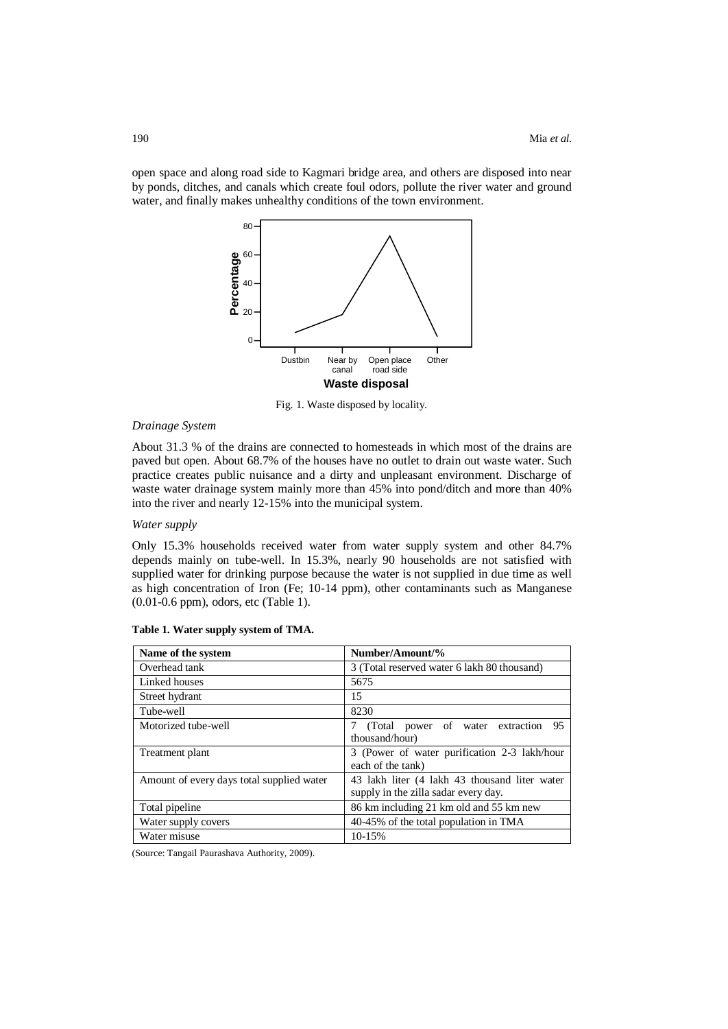open space and along road side to Kagmari bridge area, and others are disposed into near by ponds, ditches, and canals which create foul odors, pollute the river water and ground water, and finally makes unhealthy conditions of the town environment.



Fig. 1. Waste disposed by locality.

# *Drainage System*

About 31.3 % of the drains are connected to homesteads in which most of the drains are paved but open. About 68.7% of the houses have no outlet to drain out waste water. Such practice creates public nuisance and a dirty and unpleasant environment. Discharge of waste water drainage system mainly more than 45% into pond/ditch and more than 40% into the river and nearly 12-15% into the municipal system.

## *Water supply*

Only 15.3% households received water from water supply system and other 84.7% depends mainly on tube-well. In 15.3%, nearly 90 households are not satisfied with supplied water for drinking purpose because the water is not supplied in due time as well as high concentration of Iron (Fe; 10-14 ppm), other contaminants such as Manganese (0.01-0.6 ppm), odors, etc (Table 1).

| Name of the system                        | Number/Amount/%                                                                       |
|-------------------------------------------|---------------------------------------------------------------------------------------|
| Overhead tank                             | 3 (Total reserved water 6 lakh 80 thousand)                                           |
| Linked houses                             | 5675                                                                                  |
| Street hydrant                            | 15                                                                                    |
| Tube-well                                 | 8230                                                                                  |
| Motorized tube-well                       | (Total power of water extraction<br>95<br>7<br>thousand/hour)                         |
| Treatment plant                           | 3 (Power of water purification 2-3 lakh/hour<br>each of the tank)                     |
| Amount of every days total supplied water | 43 lakh liter (4 lakh 43 thousand liter water<br>supply in the zilla sadar every day. |
| Total pipeline                            | 86 km including 21 km old and 55 km new                                               |
| Water supply covers                       | 40-45% of the total population in TMA                                                 |
| Water misuse                              | 10-15%                                                                                |

| Table 1. Water supply system of TMA |  |  |  |
|-------------------------------------|--|--|--|
|-------------------------------------|--|--|--|

(Source: Tangail Paurashava Authority, 2009).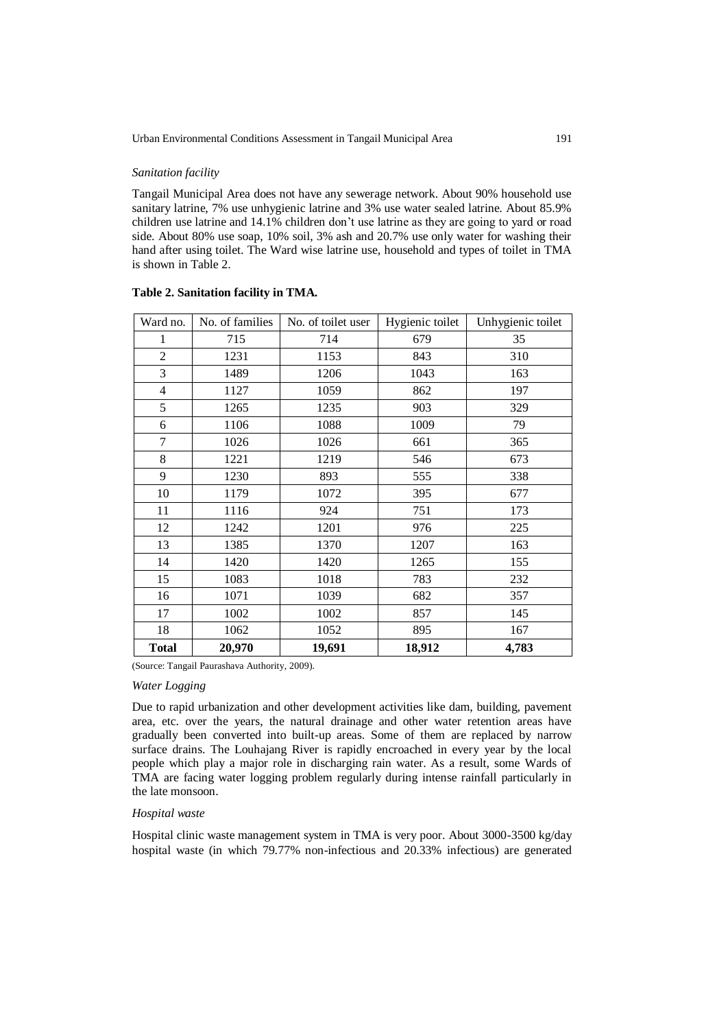## *Sanitation facility*

Tangail Municipal Area does not have any sewerage network. About 90% household use sanitary latrine, 7% use unhygienic latrine and 3% use water sealed latrine. About 85.9% children use latrine and 14.1% children don't use latrine as they are going to yard or road side. About 80% use soap, 10% soil, 3% ash and 20.7% use only water for washing their hand after using toilet. The Ward wise latrine use, household and types of toilet in TMA is shown in Table 2.

| Ward no.       | No. of families | No. of toilet user | Hygienic toilet | Unhygienic toilet |
|----------------|-----------------|--------------------|-----------------|-------------------|
| 1              | 715             | 714                | 679             | 35                |
| $\overline{2}$ | 1231            | 1153               | 843             | 310               |
| 3              | 1489            | 1206               | 1043            | 163               |
| 4              | 1127            | 1059               | 862             | 197               |
| 5              | 1265            | 1235               | 903             | 329               |
| 6              | 1106            | 1088               | 1009            | 79                |
| 7              | 1026            | 1026               | 661             | 365               |
| 8              | 1221            | 1219               | 546             | 673               |
| 9              | 1230            | 893                | 555             | 338               |
| 10             | 1179            | 1072               | 395             | 677               |
| 11             | 1116            | 924                | 751             | 173               |
| 12             | 1242            | 1201               | 976             | 225               |
| 13             | 1385            | 1370               | 1207            | 163               |
| 14             | 1420            | 1420               | 1265            | 155               |
| 15             | 1083            | 1018               | 783             | 232               |
| 16             | 1071            | 1039               | 682             | 357               |
| 17             | 1002            | 1002               | 857             | 145               |
| 18             | 1062            | 1052               | 895             | 167               |
| <b>Total</b>   | 20,970          | 19,691             | 18,912          | 4,783             |

### **Table 2. Sanitation facility in TMA.**

(Source: Tangail Paurashava Authority, 2009).

## *Water Logging*

Due to rapid urbanization and other development activities like dam, building, pavement area, etc. over the years, the natural drainage and other water retention areas have gradually been converted into built-up areas. Some of them are replaced by narrow surface drains. The Louhajang River is rapidly encroached in every year by the local people which play a major role in discharging rain water. As a result, some Wards of TMA are facing water logging problem regularly during intense rainfall particularly in the late monsoon.

# *Hospital waste*

Hospital clinic waste management system in TMA is very poor. About 3000-3500 kg/day hospital waste (in which 79.77% non-infectious and 20.33% infectious) are generated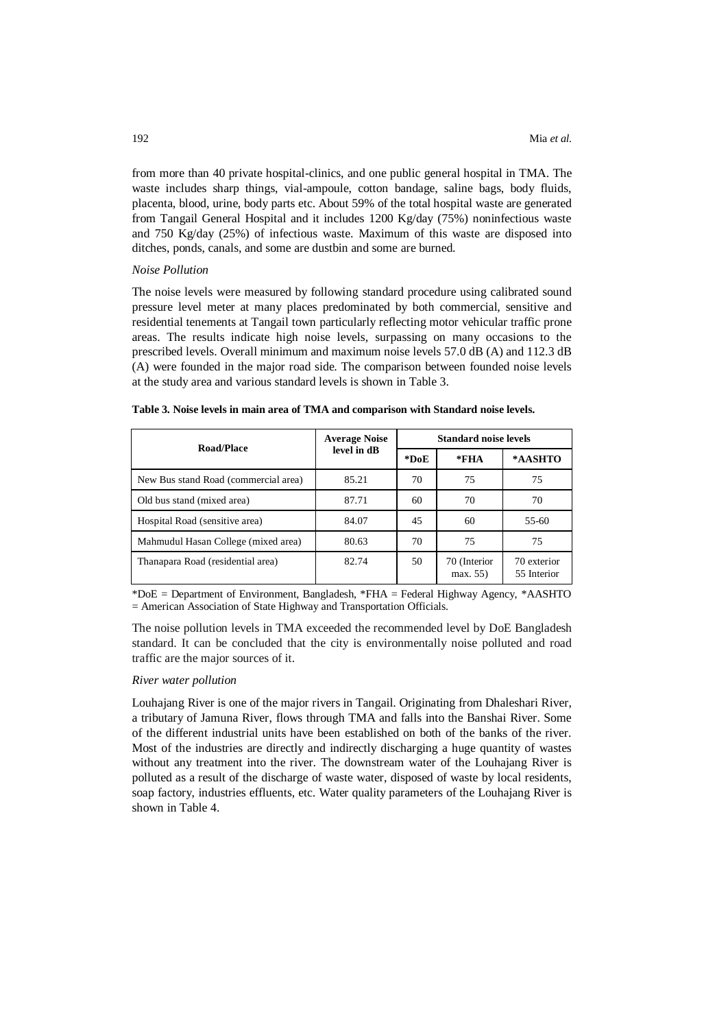from more than 40 private hospital-clinics, and one public general hospital in TMA. The waste includes sharp things, vial-ampoule, cotton bandage, saline bags, body fluids, placenta, blood, urine, body parts etc. About 59% of the total hospital waste are generated from Tangail General Hospital and it includes 1200 Kg/day (75%) noninfectious waste and 750 Kg/day (25%) of infectious waste. Maximum of this waste are disposed into ditches, ponds, canals, and some are dustbin and some are burned.

#### *Noise Pollution*

The noise levels were measured by following standard procedure using calibrated sound pressure level meter at many places predominated by both commercial, sensitive and residential tenements at Tangail town particularly reflecting motor vehicular traffic prone areas. The results indicate high noise levels, surpassing on many occasions to the prescribed levels. Overall minimum and maximum noise levels 57.0 dB (A) and 112.3 dB (A) were founded in the major road side. The comparison between founded noise levels at the study area and various standard levels is shown in Table 3.

| <b>Road/Place</b>                    | <b>Average Noise</b> | <b>Standard noise levels</b> |                         |                            |
|--------------------------------------|----------------------|------------------------------|-------------------------|----------------------------|
|                                      | level in dB          | *DoE                         | $*FHA$                  | *AASHTO                    |
| New Bus stand Road (commercial area) | 85.21                | 70                           | 75                      | 75                         |
| Old bus stand (mixed area)           | 87.71                | 60                           | 70                      | 70                         |
| Hospital Road (sensitive area)       | 84.07                | 45                           | 60                      | 55-60                      |
| Mahmudul Hasan College (mixed area)  | 80.63                | 70                           | 75                      | 75                         |
| Thanapara Road (residential area)    | 82.74                | 50                           | 70 (Interior<br>max. 55 | 70 exterior<br>55 Interior |

\*DoE = Department of Environment, Bangladesh, \*FHA = Federal Highway Agency, \*AASHTO = American Association of State Highway and Transportation Officials.

The noise pollution levels in TMA exceeded the recommended level by DoE Bangladesh standard. It can be concluded that the city is environmentally noise polluted and road traffic are the major sources of it.

#### *River water pollution*

Louhajang River is one of the major rivers in Tangail. Originating from Dhaleshari River, a tributary of Jamuna River, flows through TMA and falls into the Banshai River. Some of the different industrial units have been established on both of the banks of the river. Most of the industries are directly and indirectly discharging a huge quantity of wastes without any treatment into the river. The downstream water of the Louhajang River is polluted as a result of the discharge of waste water, disposed of waste by local residents, soap factory, industries effluents, etc. Water quality parameters of the Louhajang River is shown in Table 4.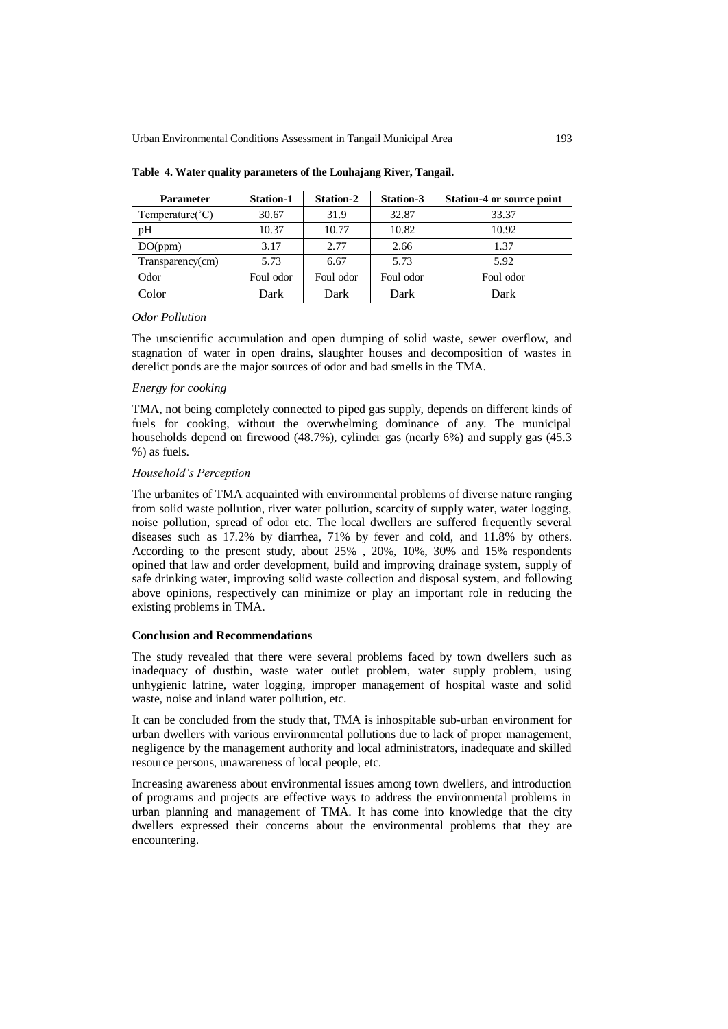| <b>Parameter</b>           | <b>Station-1</b> | <b>Station-2</b> | Station-3 | <b>Station-4 or source point</b> |
|----------------------------|------------------|------------------|-----------|----------------------------------|
| Temperature( $^{\circ}$ C) | 30.67            | 31.9             | 32.87     | 33.37                            |
| pH                         | 10.37            | 10.77            | 10.82     | 10.92                            |
| DO(ppm)                    | 3.17             | 2.77             | 2.66      | 1.37                             |
| Transparency(cm)           | 5.73             | 6.67             | 5.73      | 5.92                             |
| Odor                       | Foul odor        | Foul odor        | Foul odor | Foul odor                        |
| Color                      | Dark             | Dark             | Dark      | Dark                             |

**Table 4. Water quality parameters of the Louhajang River, Tangail.**

#### *Odor Pollution*

The unscientific accumulation and open dumping of solid waste, sewer overflow, and stagnation of water in open drains, slaughter houses and decomposition of wastes in derelict ponds are the major sources of odor and bad smells in the TMA.

#### *Energy for cooking*

TMA, not being completely connected to piped gas supply, depends on different kinds of fuels for cooking, without the overwhelming dominance of any. The municipal households depend on firewood (48.7%), cylinder gas (nearly 6%) and supply gas (45.3 %) as fuels.

## *Household's Perception*

The urbanites of TMA acquainted with environmental problems of diverse nature ranging from solid waste pollution, river water pollution, scarcity of supply water, water logging, noise pollution, spread of odor etc. The local dwellers are suffered frequently several diseases such as 17.2% by diarrhea, 71% by fever and cold, and 11.8% by others. According to the present study, about 25% , 20%, 10%, 30% and 15% respondents opined that law and order development, build and improving drainage system, supply of safe drinking water, improving solid waste collection and disposal system, and following above opinions, respectively can minimize or play an important role in reducing the existing problems in TMA.

#### **Conclusion and Recommendations**

The study revealed that there were several problems faced by town dwellers such as inadequacy of dustbin, waste water outlet problem, water supply problem, using unhygienic latrine, water logging, improper management of hospital waste and solid waste, noise and inland water pollution, etc.

It can be concluded from the study that, TMA is inhospitable sub-urban environment for urban dwellers with various environmental pollutions due to lack of proper management, negligence by the management authority and local administrators, inadequate and skilled resource persons, unawareness of local people, etc.

Increasing awareness about environmental issues among town dwellers, and introduction of programs and projects are effective ways to address the environmental problems in urban planning and management of TMA. It has come into knowledge that the city dwellers expressed their concerns about the environmental problems that they are encountering.